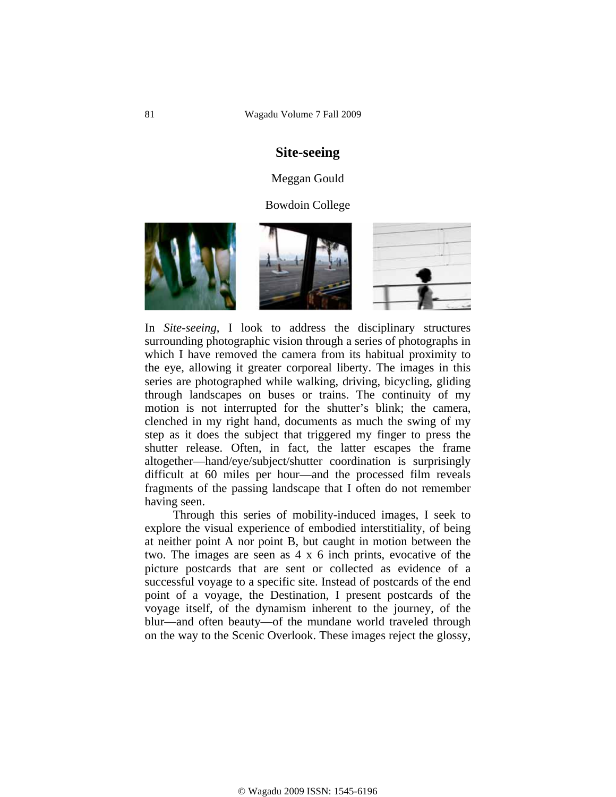# **Site-seeing**

#### Meggan Gould

#### Bowdoin College



In *Site-seeing*, I look to address the disciplinary structures surrounding photographic vision through a series of photographs in which I have removed the camera from its habitual proximity to the eye, allowing it greater corporeal liberty. The images in this series are photographed while walking, driving, bicycling, gliding through landscapes on buses or trains. The continuity of my motion is not interrupted for the shutter's blink; the camera, clenched in my right hand, documents as much the swing of my step as it does the subject that triggered my finger to press the shutter release. Often, in fact, the latter escapes the frame altogether—hand/eye/subject/shutter coordination is surprisingly difficult at 60 miles per hour—and the processed film reveals fragments of the passing landscape that I often do not remember having seen.

 Through this series of mobility-induced images, I seek to explore the visual experience of embodied interstitiality, of being at neither point A nor point B, but caught in motion between the two. The images are seen as 4 x 6 inch prints, evocative of the picture postcards that are sent or collected as evidence of a successful voyage to a specific site. Instead of postcards of the end point of a voyage, the Destination, I present postcards of the voyage itself, of the dynamism inherent to the journey, of the blur—and often beauty—of the mundane world traveled through on the way to the Scenic Overlook. These images reject the glossy,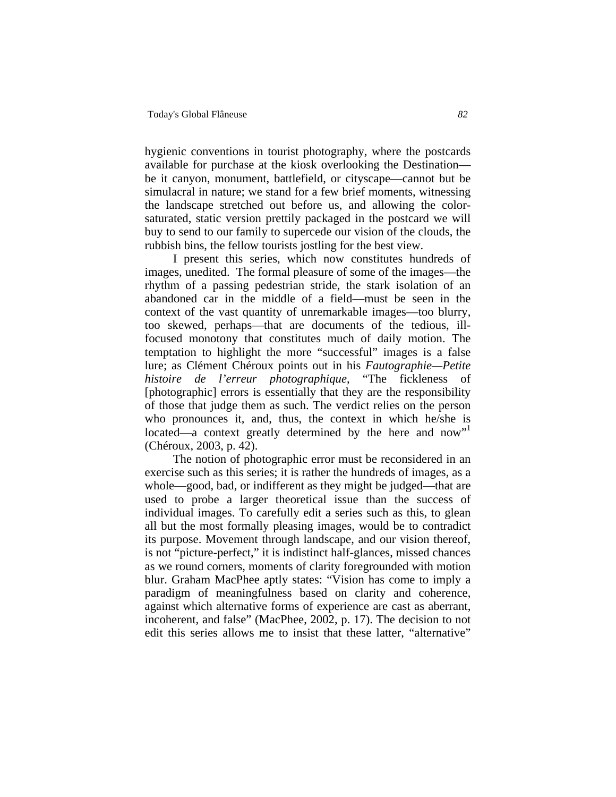hygienic conventions in tourist photography, where the postcards available for purchase at the kiosk overlooking the Destination be it canyon, monument, battlefield, or cityscape—cannot but be simulacral in nature; we stand for a few brief moments, witnessing the landscape stretched out before us, and allowing the colorsaturated, static version prettily packaged in the postcard we will buy to send to our family to supercede our vision of the clouds, the rubbish bins, the fellow tourists jostling for the best view.

 I present this series, which now constitutes hundreds of images, unedited. The formal pleasure of some of the images—the rhythm of a passing pedestrian stride, the stark isolation of an abandoned car in the middle of a field—must be seen in the context of the vast quantity of unremarkable images—too blurry, too skewed, perhaps—that are documents of the tedious, illfocused monotony that constitutes much of daily motion. The temptation to highlight the more "successful" images is a false lure; as Clément Chéroux points out in his *Fautographie—Petite histoire de l'erreur photographique*, "The fickleness of [photographic] errors is essentially that they are the responsibility of those that judge them as such. The verdict relies on the person who pronounces it, and, thus, the context in which he/she is located—a context greatly determined by the here and now"<sup>1</sup> (Chéroux, 2003, p. 42).

 The notion of photographic error must be reconsidered in an exercise such as this series; it is rather the hundreds of images, as a whole—good, bad, or indifferent as they might be judged—that are used to probe a larger theoretical issue than the success of individual images. To carefully edit a series such as this, to glean all but the most formally pleasing images, would be to contradict its purpose. Movement through landscape, and our vision thereof, is not "picture-perfect," it is indistinct half-glances, missed chances as we round corners, moments of clarity foregrounded with motion blur. Graham MacPhee aptly states: "Vision has come to imply a paradigm of meaningfulness based on clarity and coherence, against which alternative forms of experience are cast as aberrant, incoherent, and false" (MacPhee, 2002, p. 17). The decision to not edit this series allows me to insist that these latter, "alternative"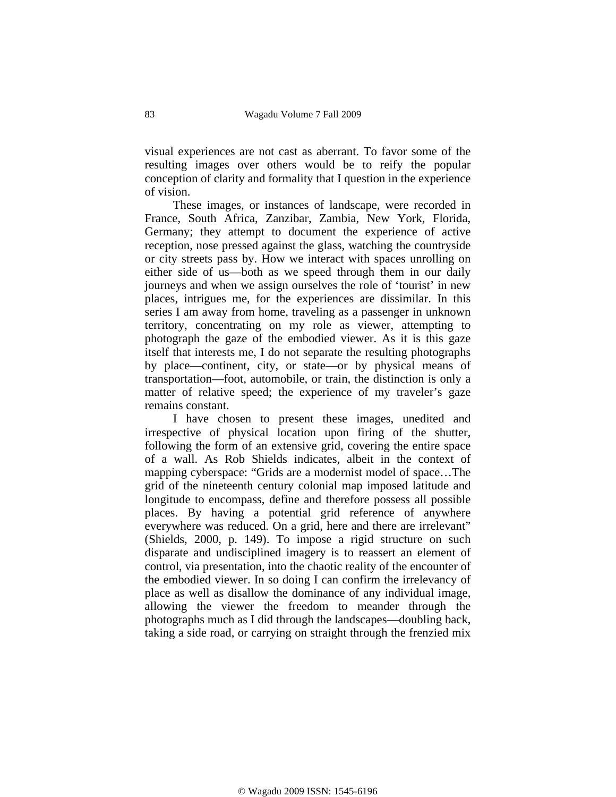visual experiences are not cast as aberrant. To favor some of the resulting images over others would be to reify the popular conception of clarity and formality that I question in the experience of vision.

 These images, or instances of landscape, were recorded in France, South Africa, Zanzibar, Zambia, New York, Florida, Germany; they attempt to document the experience of active reception, nose pressed against the glass, watching the countryside or city streets pass by. How we interact with spaces unrolling on either side of us—both as we speed through them in our daily journeys and when we assign ourselves the role of 'tourist' in new places, intrigues me, for the experiences are dissimilar. In this series I am away from home, traveling as a passenger in unknown territory, concentrating on my role as viewer, attempting to photograph the gaze of the embodied viewer. As it is this gaze itself that interests me, I do not separate the resulting photographs by place—continent, city, or state—or by physical means of transportation—foot, automobile, or train, the distinction is only a matter of relative speed; the experience of my traveler's gaze remains constant.

 I have chosen to present these images, unedited and irrespective of physical location upon firing of the shutter, following the form of an extensive grid, covering the entire space of a wall. As Rob Shields indicates, albeit in the context of mapping cyberspace: "Grids are a modernist model of space…The grid of the nineteenth century colonial map imposed latitude and longitude to encompass, define and therefore possess all possible places. By having a potential grid reference of anywhere everywhere was reduced. On a grid, here and there are irrelevant" (Shields, 2000, p. 149). To impose a rigid structure on such disparate and undisciplined imagery is to reassert an element of control, via presentation, into the chaotic reality of the encounter of the embodied viewer. In so doing I can confirm the irrelevancy of place as well as disallow the dominance of any individual image, allowing the viewer the freedom to meander through the photographs much as I did through the landscapes—doubling back, taking a side road, or carrying on straight through the frenzied mix